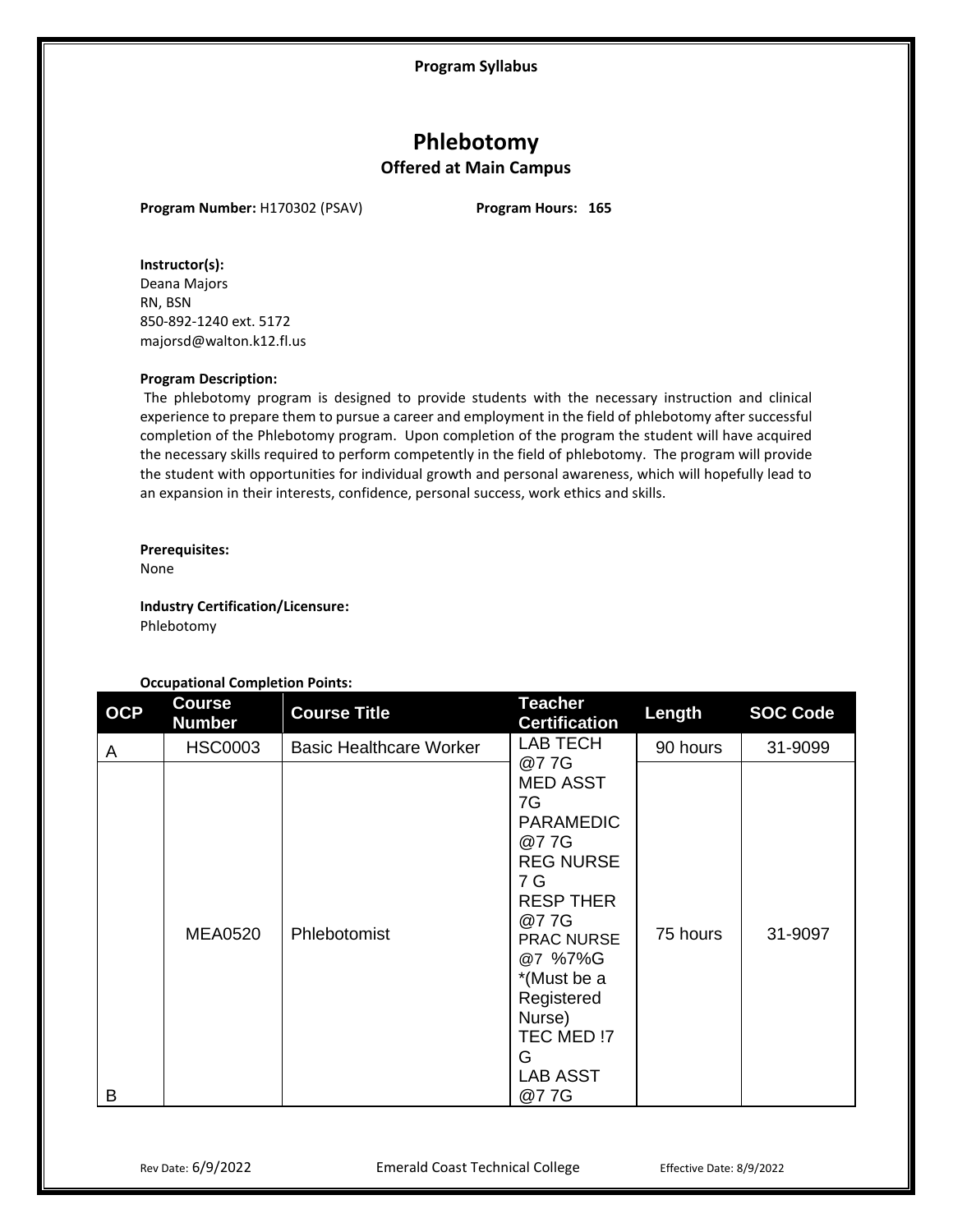**Program Syllabus**

# **Phlebotomy Offered at Main Campus**

**Program Number:** H170302 (PSAV) **Program Hours: 165**

# **Instructor(s):**

Deana Majors RN, BSN 850-892-1240 ext. 5172 majorsd@walton.k12.fl.us

#### **Program Description:**

The phlebotomy program is designed to provide students with the necessary instruction and clinical experience to prepare them to pursue a career and employment in the field of phlebotomy after successful completion of the Phlebotomy program. Upon completion of the program the student will have acquired the necessary skills required to perform competently in the field of phlebotomy. The program will provide the student with opportunities for individual growth and personal awareness, which will hopefully lead to an expansion in their interests, confidence, personal success, work ethics and skills.

#### **Prerequisites:**

None

**Industry Certification/Licensure:** Phlebotomy

# **Occupational Completion Points:**

| <b>OCP</b> | <b>Course</b><br><b>Number</b> | <b>Course Title</b>            | <b>Teacher</b><br><b>Certification</b>                                                                                                                                                                                        | Length   | <b>SOC Code</b> |
|------------|--------------------------------|--------------------------------|-------------------------------------------------------------------------------------------------------------------------------------------------------------------------------------------------------------------------------|----------|-----------------|
| A          | <b>HSC0003</b>                 | <b>Basic Healthcare Worker</b> | LAB TECH<br>@77G                                                                                                                                                                                                              | 90 hours | 31-9099         |
| B          | <b>MEA0520</b>                 | Phlebotomist                   | <b>MED ASST</b><br>7G<br><b>PARAMEDIC</b><br>@77G<br><b>REG NURSE</b><br>7 G<br><b>RESP THER</b><br>@77G<br><b>PRAC NURSE</b><br>@7 %7%G<br>*(Must be a<br>Registered<br>Nurse)<br>TEC MED !7<br>G<br><b>LAB ASST</b><br>@77G | 75 hours | 31-9097         |

Rev Date: 6/9/2022 **Emerald Coast Technical College** Effective Date: 8/9/2022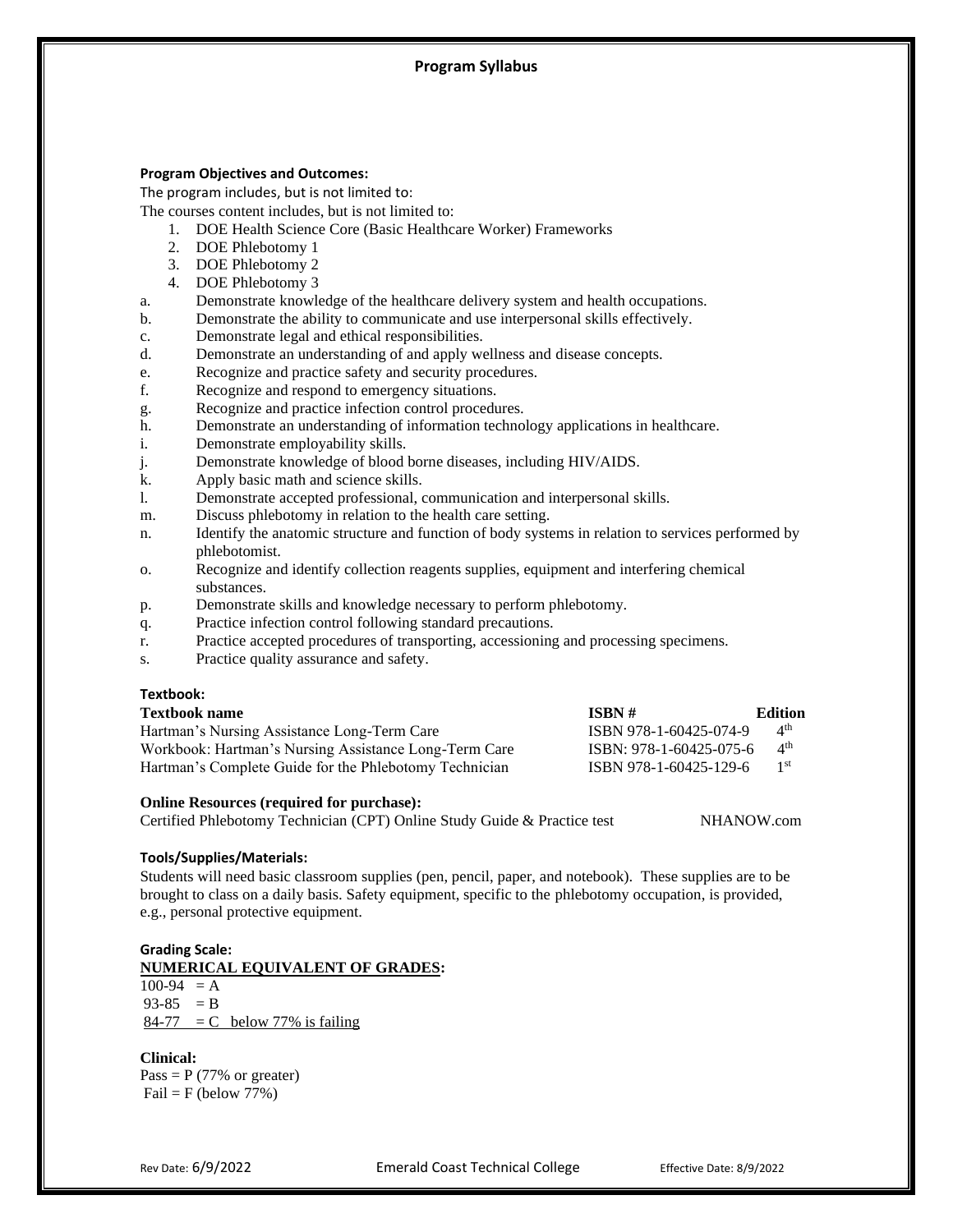# **Program Syllabus**

#### **Program Objectives and Outcomes:**

The program includes, but is not limited to:

The courses content includes, but is not limited to:

- 1. DOE Health Science Core (Basic Healthcare Worker) Frameworks
- 2. DOE Phlebotomy 1
- 3. DOE Phlebotomy 2
- 4. DOE Phlebotomy 3
- a. Demonstrate knowledge of the healthcare delivery system and health occupations.
- b. Demonstrate the ability to communicate and use interpersonal skills effectively.
- c. Demonstrate legal and ethical responsibilities.
- d. Demonstrate an understanding of and apply wellness and disease concepts.
- e. Recognize and practice safety and security procedures.
- f. Recognize and respond to emergency situations.
- g. Recognize and practice infection control procedures.
- h. Demonstrate an understanding of information technology applications in healthcare.
- i. Demonstrate employability skills.
- j. Demonstrate knowledge of blood borne diseases, including HIV/AIDS.
- k. Apply basic math and science skills.
- l. Demonstrate accepted professional, communication and interpersonal skills.
- m. Discuss phlebotomy in relation to the health care setting.
- n. Identify the anatomic structure and function of body systems in relation to services performed by phlebotomist.
- o. Recognize and identify collection reagents supplies, equipment and interfering chemical substances.
- p. Demonstrate skills and knowledge necessary to perform phlebotomy.
- q. Practice infection control following standard precautions.
- r. Practice accepted procedures of transporting, accessioning and processing specimens.
- s. Practice quality assurance and safety.

# **Textbook:**

| <b>Textbook name</b>                                   | $\overline{ISBN}$ #     | Edition                        |
|--------------------------------------------------------|-------------------------|--------------------------------|
| Hartman's Nursing Assistance Long-Term Care            | ISBN 978-1-60425-074-9  | $\mathbf{\Lambda}^{\text{th}}$ |
| Workbook: Hartman's Nursing Assistance Long-Term Care  | ISBN: 978-1-60425-075-6 | 4 <sup>th</sup>                |
| Hartman's Complete Guide for the Phlebotomy Technician | ISBN 978-1-60425-129-6  | $1^{st}$                       |

#### **Online Resources (required for purchase):**

Certified Phlebotomy Technician (CPT) Online Study Guide & Practice test NHANOW.com

# **Tools/Supplies/Materials:**

Students will need basic classroom supplies (pen, pencil, paper, and notebook). These supplies are to be brought to class on a daily basis. Safety equipment, specific to the phlebotomy occupation, is provided, e.g., personal protective equipment.

#### **Grading Scale:**

**NUMERICAL EQUIVALENT OF GRADES:**

 $100-94 = A$  $93-85 = B$  $84-77$  = C below 77% is failing

#### **Clinical:**

Pass =  $P$  (77% or greater)  $Fail = F (below 77%)$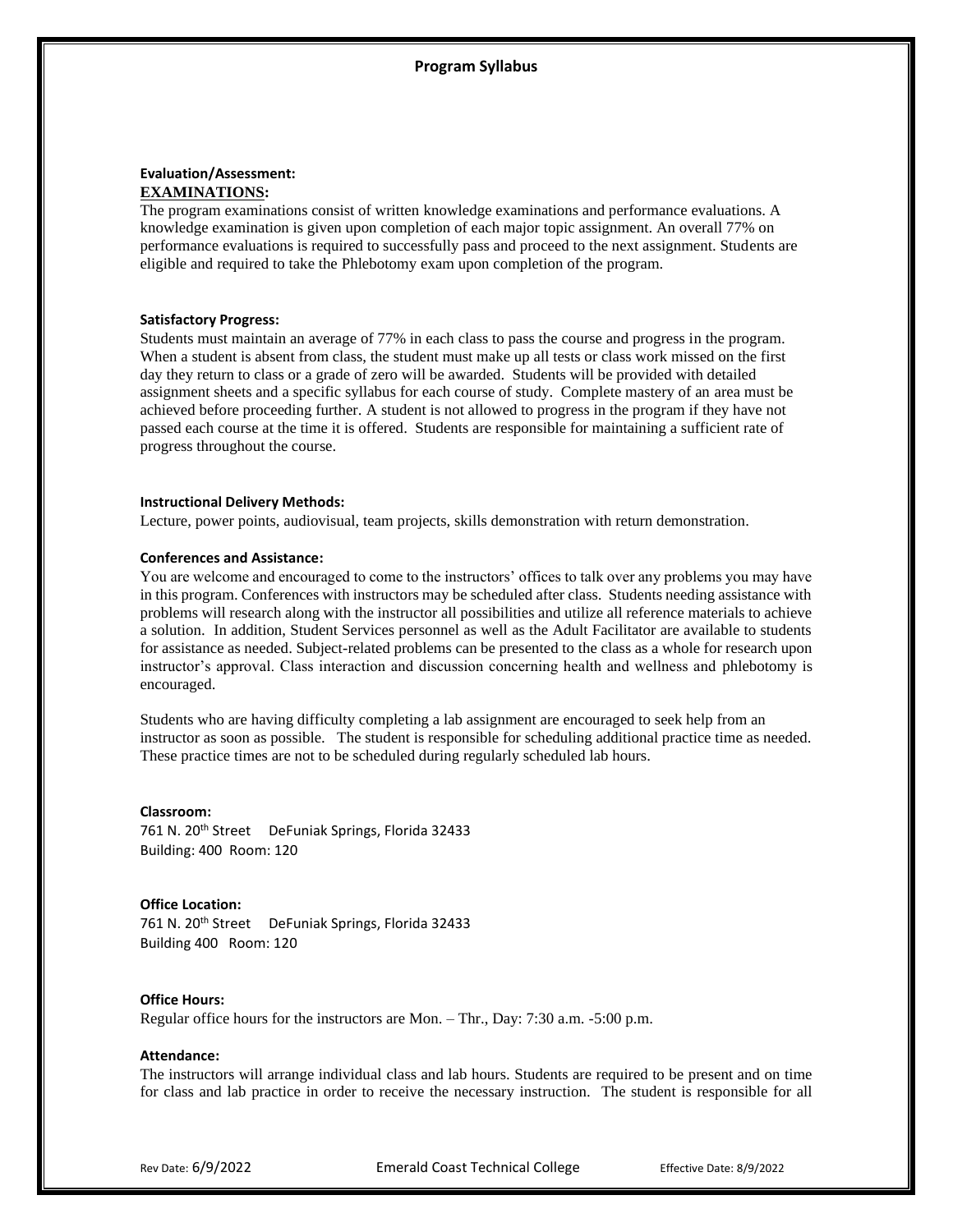# **Evaluation/Assessment: EXAMINATIONS:**

The program examinations consist of written knowledge examinations and performance evaluations. A knowledge examination is given upon completion of each major topic assignment. An overall 77% on performance evaluations is required to successfully pass and proceed to the next assignment. Students are eligible and required to take the Phlebotomy exam upon completion of the program.

# **Satisfactory Progress:**

Students must maintain an average of 77% in each class to pass the course and progress in the program. When a student is absent from class, the student must make up all tests or class work missed on the first day they return to class or a grade of zero will be awarded. Students will be provided with detailed assignment sheets and a specific syllabus for each course of study. Complete mastery of an area must be achieved before proceeding further. A student is not allowed to progress in the program if they have not passed each course at the time it is offered. Students are responsible for maintaining a sufficient rate of progress throughout the course.

#### **Instructional Delivery Methods:**

Lecture, power points, audiovisual, team projects, skills demonstration with return demonstration.

#### **Conferences and Assistance:**

You are welcome and encouraged to come to the instructors' offices to talk over any problems you may have in this program. Conferences with instructors may be scheduled after class. Students needing assistance with problems will research along with the instructor all possibilities and utilize all reference materials to achieve a solution. In addition, Student Services personnel as well as the Adult Facilitator are available to students for assistance as needed. Subject-related problems can be presented to the class as a whole for research upon instructor's approval. Class interaction and discussion concerning health and wellness and phlebotomy is encouraged.

Students who are having difficulty completing a lab assignment are encouraged to seek help from an instructor as soon as possible. The student is responsible for scheduling additional practice time as needed. These practice times are not to be scheduled during regularly scheduled lab hours.

#### **Classroom:**

761 N. 20<sup>th</sup> Street DeFuniak Springs, Florida 32433 Building: 400 Room: 120

#### **Office Location:**

761 N. 20<sup>th</sup> Street DeFuniak Springs, Florida 32433 Building 400 Room: 120

# **Office Hours:**

Regular office hours for the instructors are Mon. – Thr., Day: 7:30 a.m. -5:00 p.m.

#### **Attendance:**

The instructors will arrange individual class and lab hours. Students are required to be present and on time for class and lab practice in order to receive the necessary instruction. The student is responsible for all

Rev Date: 6/9/2022 **Emerald Coast Technical College** Effective Date: 8/9/2022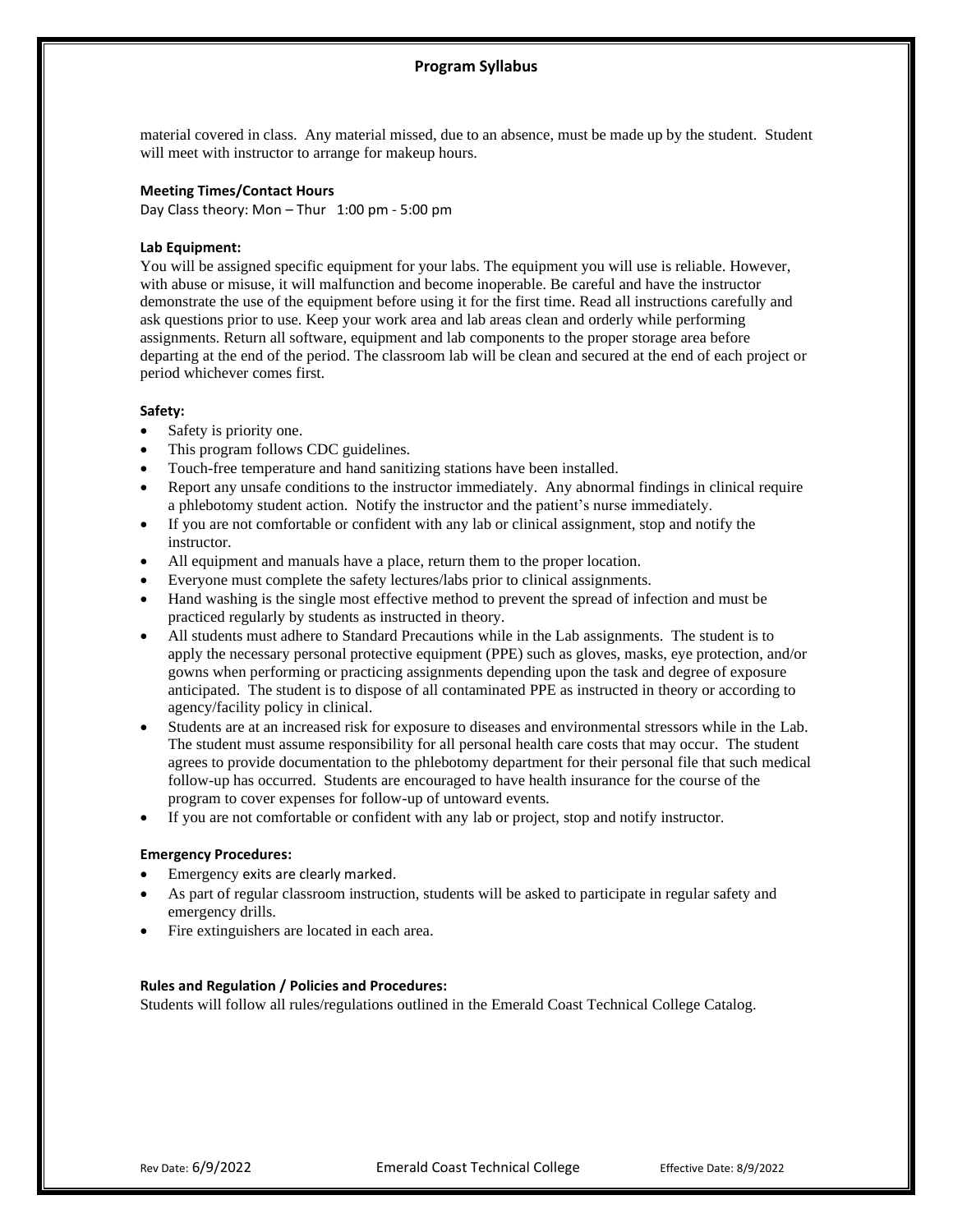# **Program Syllabus**

material covered in class. Any material missed, due to an absence, must be made up by the student. Student will meet with instructor to arrange for makeup hours.

# **Meeting Times/Contact Hours**

Day Class theory: Mon – Thur 1:00 pm - 5:00 pm

# **Lab Equipment:**

You will be assigned specific equipment for your labs. The equipment you will use is reliable. However, with abuse or misuse, it will malfunction and become inoperable. Be careful and have the instructor demonstrate the use of the equipment before using it for the first time. Read all instructions carefully and ask questions prior to use. Keep your work area and lab areas clean and orderly while performing assignments. Return all software, equipment and lab components to the proper storage area before departing at the end of the period. The classroom lab will be clean and secured at the end of each project or period whichever comes first.

# **Safety:**

- Safety is priority one.
- This program follows CDC guidelines.
- Touch-free temperature and hand sanitizing stations have been installed.
- Report any unsafe conditions to the instructor immediately. Any abnormal findings in clinical require a phlebotomy student action. Notify the instructor and the patient's nurse immediately.
- If you are not comfortable or confident with any lab or clinical assignment, stop and notify the instructor.
- All equipment and manuals have a place, return them to the proper location.
- Everyone must complete the safety lectures/labs prior to clinical assignments.
- Hand washing is the single most effective method to prevent the spread of infection and must be practiced regularly by students as instructed in theory.
- All students must adhere to Standard Precautions while in the Lab assignments. The student is to apply the necessary personal protective equipment (PPE) such as gloves, masks, eye protection, and/or gowns when performing or practicing assignments depending upon the task and degree of exposure anticipated. The student is to dispose of all contaminated PPE as instructed in theory or according to agency/facility policy in clinical.
- Students are at an increased risk for exposure to diseases and environmental stressors while in the Lab. The student must assume responsibility for all personal health care costs that may occur. The student agrees to provide documentation to the phlebotomy department for their personal file that such medical follow-up has occurred. Students are encouraged to have health insurance for the course of the program to cover expenses for follow-up of untoward events.
- If you are not comfortable or confident with any lab or project, stop and notify instructor.

# **Emergency Procedures:**

- Emergency exits are clearly marked.
- As part of regular classroom instruction, students will be asked to participate in regular safety and emergency drills.
- Fire extinguishers are located in each area.

# **Rules and Regulation / Policies and Procedures:**

Students will follow all rules/regulations outlined in the Emerald Coast Technical College Catalog.